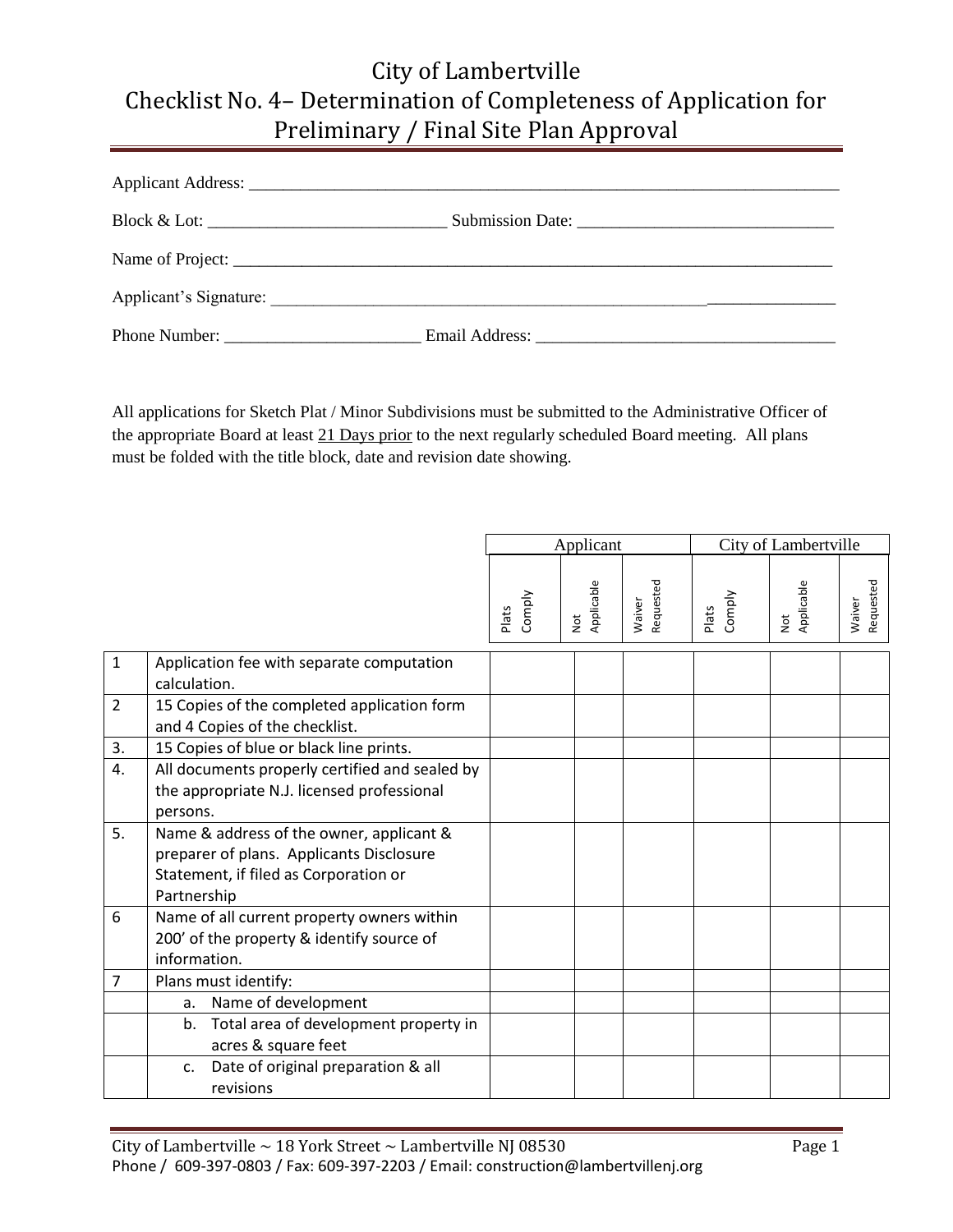| Phone Number: |  |
|---------------|--|

All applications for Sketch Plat / Minor Subdivisions must be submitted to the Administrative Officer of the appropriate Board at least 21 Days prior to the next regularly scheduled Board meeting. All plans must be folded with the title block, date and revision date showing.

|                |                                                                                                                                              | Applicant       |                                       |                     | City of Lambertville |                        |                     |
|----------------|----------------------------------------------------------------------------------------------------------------------------------------------|-----------------|---------------------------------------|---------------------|----------------------|------------------------|---------------------|
|                |                                                                                                                                              | Comply<br>Plats | Applicable<br>$\overline{\mathsf{c}}$ | Requested<br>Waiver | Comply<br>Plats      | Applicable<br><b>z</b> | Requested<br>Waiver |
| $1\,$          | Application fee with separate computation<br>calculation.                                                                                    |                 |                                       |                     |                      |                        |                     |
| $\overline{2}$ | 15 Copies of the completed application form<br>and 4 Copies of the checklist.                                                                |                 |                                       |                     |                      |                        |                     |
| 3.             | 15 Copies of blue or black line prints.                                                                                                      |                 |                                       |                     |                      |                        |                     |
| 4.             | All documents properly certified and sealed by<br>the appropriate N.J. licensed professional<br>persons.                                     |                 |                                       |                     |                      |                        |                     |
| 5.             | Name & address of the owner, applicant &<br>preparer of plans. Applicants Disclosure<br>Statement, if filed as Corporation or<br>Partnership |                 |                                       |                     |                      |                        |                     |
| 6              | Name of all current property owners within<br>200' of the property & identify source of<br>information.                                      |                 |                                       |                     |                      |                        |                     |
| 7              | Plans must identify:                                                                                                                         |                 |                                       |                     |                      |                        |                     |
|                | Name of development<br>a.                                                                                                                    |                 |                                       |                     |                      |                        |                     |
|                | Total area of development property in<br>b.<br>acres & square feet                                                                           |                 |                                       |                     |                      |                        |                     |
|                | Date of original preparation & all<br>c.<br>revisions                                                                                        |                 |                                       |                     |                      |                        |                     |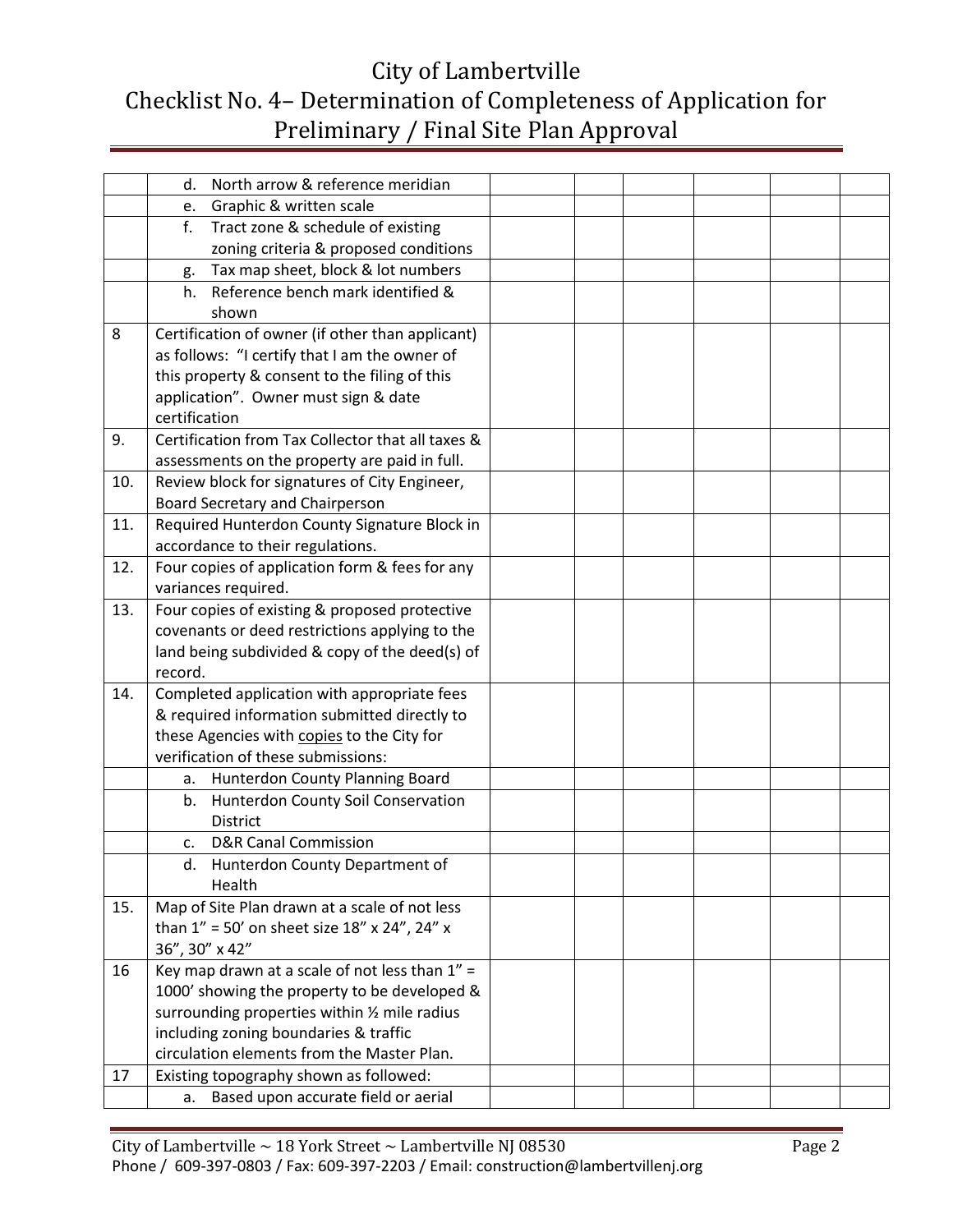|     | North arrow & reference meridian<br>d.                    |  |  |  |
|-----|-----------------------------------------------------------|--|--|--|
|     | Graphic & written scale<br>e.                             |  |  |  |
|     | f.<br>Tract zone & schedule of existing                   |  |  |  |
|     | zoning criteria & proposed conditions                     |  |  |  |
|     | Tax map sheet, block & lot numbers<br>g.                  |  |  |  |
|     | Reference bench mark identified &<br>h.                   |  |  |  |
|     | shown                                                     |  |  |  |
| 8   | Certification of owner (if other than applicant)          |  |  |  |
|     | as follows: "I certify that I am the owner of             |  |  |  |
|     | this property & consent to the filing of this             |  |  |  |
|     | application". Owner must sign & date                      |  |  |  |
|     | certification                                             |  |  |  |
| 9.  | Certification from Tax Collector that all taxes &         |  |  |  |
|     | assessments on the property are paid in full.             |  |  |  |
| 10. | Review block for signatures of City Engineer,             |  |  |  |
|     | Board Secretary and Chairperson                           |  |  |  |
| 11. | Required Hunterdon County Signature Block in              |  |  |  |
|     | accordance to their regulations.                          |  |  |  |
| 12. | Four copies of application form & fees for any            |  |  |  |
|     | variances required.                                       |  |  |  |
| 13. | Four copies of existing & proposed protective             |  |  |  |
|     | covenants or deed restrictions applying to the            |  |  |  |
|     | land being subdivided & copy of the deed(s) of            |  |  |  |
|     | record.                                                   |  |  |  |
| 14. | Completed application with appropriate fees               |  |  |  |
|     | & required information submitted directly to              |  |  |  |
|     | these Agencies with copies to the City for                |  |  |  |
|     | verification of these submissions:                        |  |  |  |
|     | Hunterdon County Planning Board<br>а.                     |  |  |  |
|     | Hunterdon County Soil Conservation<br>b.                  |  |  |  |
|     | <b>District</b>                                           |  |  |  |
|     | <b>D&amp;R Canal Commission</b><br>c.                     |  |  |  |
|     | d. Hunterdon County Department of                         |  |  |  |
|     | Health                                                    |  |  |  |
| 15. | Map of Site Plan drawn at a scale of not less             |  |  |  |
|     | than $1'' = 50'$ on sheet size $18''$ x $24''$ , $24''$ x |  |  |  |
|     | 36", 30" x 42"                                            |  |  |  |
| 16  | Key map drawn at a scale of not less than $1" =$          |  |  |  |
|     | 1000' showing the property to be developed &              |  |  |  |
|     | surrounding properties within 1/2 mile radius             |  |  |  |
|     | including zoning boundaries & traffic                     |  |  |  |
|     | circulation elements from the Master Plan.                |  |  |  |
| 17  | Existing topography shown as followed:                    |  |  |  |
|     | Based upon accurate field or aerial<br>a.                 |  |  |  |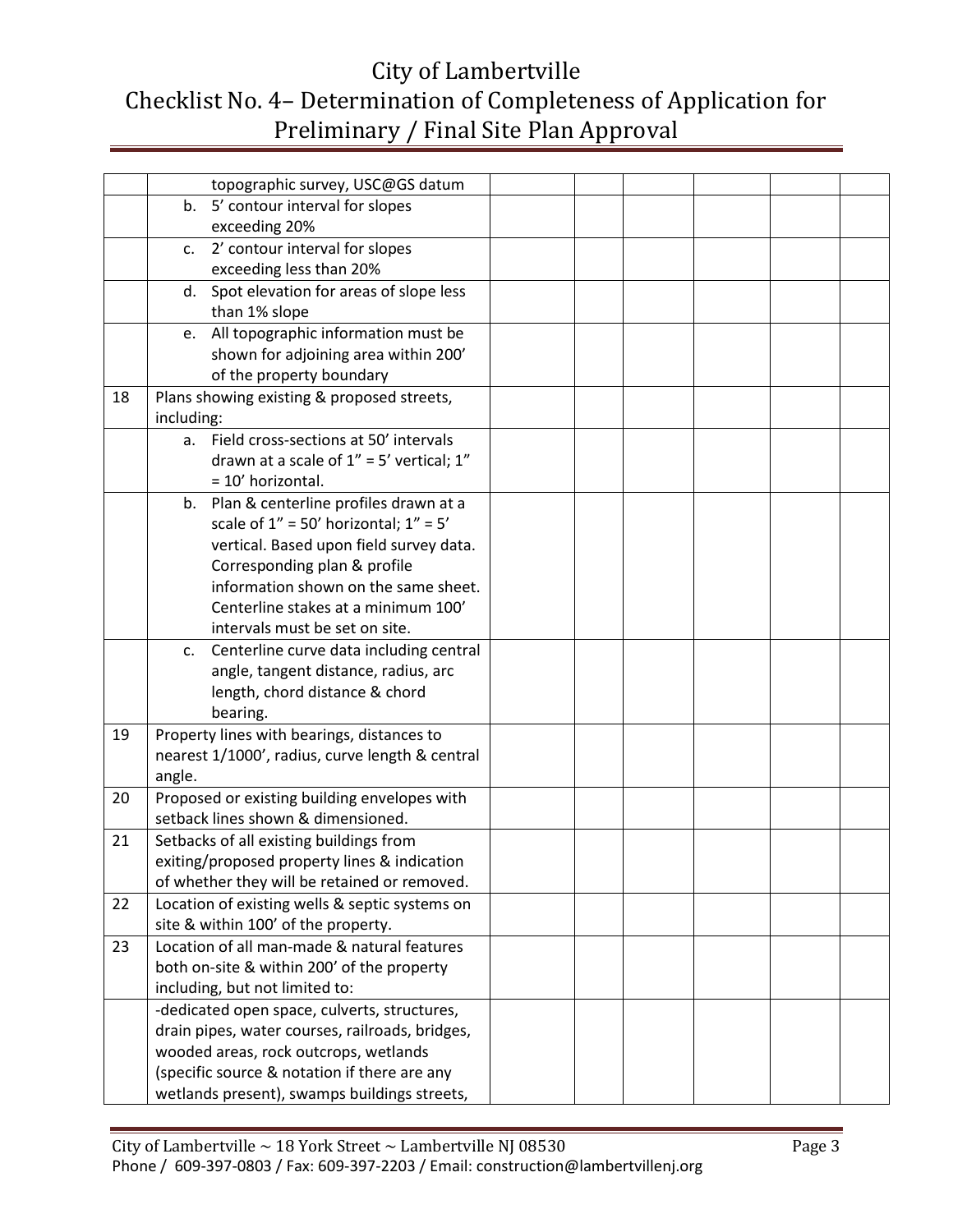|    |                | topographic survey, USC@GS datum                |  |  |  |
|----|----------------|-------------------------------------------------|--|--|--|
|    |                |                                                 |  |  |  |
|    |                | b. 5' contour interval for slopes               |  |  |  |
|    |                | exceeding 20%                                   |  |  |  |
|    | $\mathsf{C}$ . | 2' contour interval for slopes                  |  |  |  |
|    |                | exceeding less than 20%                         |  |  |  |
|    | d.             | Spot elevation for areas of slope less          |  |  |  |
|    |                | than 1% slope                                   |  |  |  |
|    |                | e. All topographic information must be          |  |  |  |
|    |                | shown for adjoining area within 200'            |  |  |  |
|    |                | of the property boundary                        |  |  |  |
| 18 |                | Plans showing existing & proposed streets,      |  |  |  |
|    | including:     |                                                 |  |  |  |
|    | а.             | Field cross-sections at 50' intervals           |  |  |  |
|    |                | drawn at a scale of $1'' = 5'$ vertical; $1''$  |  |  |  |
|    |                | = 10' horizontal.                               |  |  |  |
|    | b.             | Plan & centerline profiles drawn at a           |  |  |  |
|    |                | scale of $1'' = 50'$ horizontal; $1'' = 5'$     |  |  |  |
|    |                | vertical. Based upon field survey data.         |  |  |  |
|    |                | Corresponding plan & profile                    |  |  |  |
|    |                | information shown on the same sheet.            |  |  |  |
|    |                | Centerline stakes at a minimum 100'             |  |  |  |
|    |                | intervals must be set on site.                  |  |  |  |
|    | C.             | Centerline curve data including central         |  |  |  |
|    |                | angle, tangent distance, radius, arc            |  |  |  |
|    |                | length, chord distance & chord                  |  |  |  |
|    |                | bearing.                                        |  |  |  |
| 19 |                | Property lines with bearings, distances to      |  |  |  |
|    |                | nearest 1/1000', radius, curve length & central |  |  |  |
|    | angle.         |                                                 |  |  |  |
| 20 |                | Proposed or existing building envelopes with    |  |  |  |
|    |                | setback lines shown & dimensioned.              |  |  |  |
| 21 |                | Setbacks of all existing buildings from         |  |  |  |
|    |                | exiting/proposed property lines & indication    |  |  |  |
|    |                | of whether they will be retained or removed.    |  |  |  |
| 22 |                | Location of existing wells & septic systems on  |  |  |  |
|    |                | site & within 100' of the property.             |  |  |  |
| 23 |                | Location of all man-made & natural features     |  |  |  |
|    |                | both on-site & within 200' of the property      |  |  |  |
|    |                | including, but not limited to:                  |  |  |  |
|    |                | -dedicated open space, culverts, structures,    |  |  |  |
|    |                | drain pipes, water courses, railroads, bridges, |  |  |  |
|    |                | wooded areas, rock outcrops, wetlands           |  |  |  |
|    |                | (specific source & notation if there are any    |  |  |  |
|    |                | wetlands present), swamps buildings streets,    |  |  |  |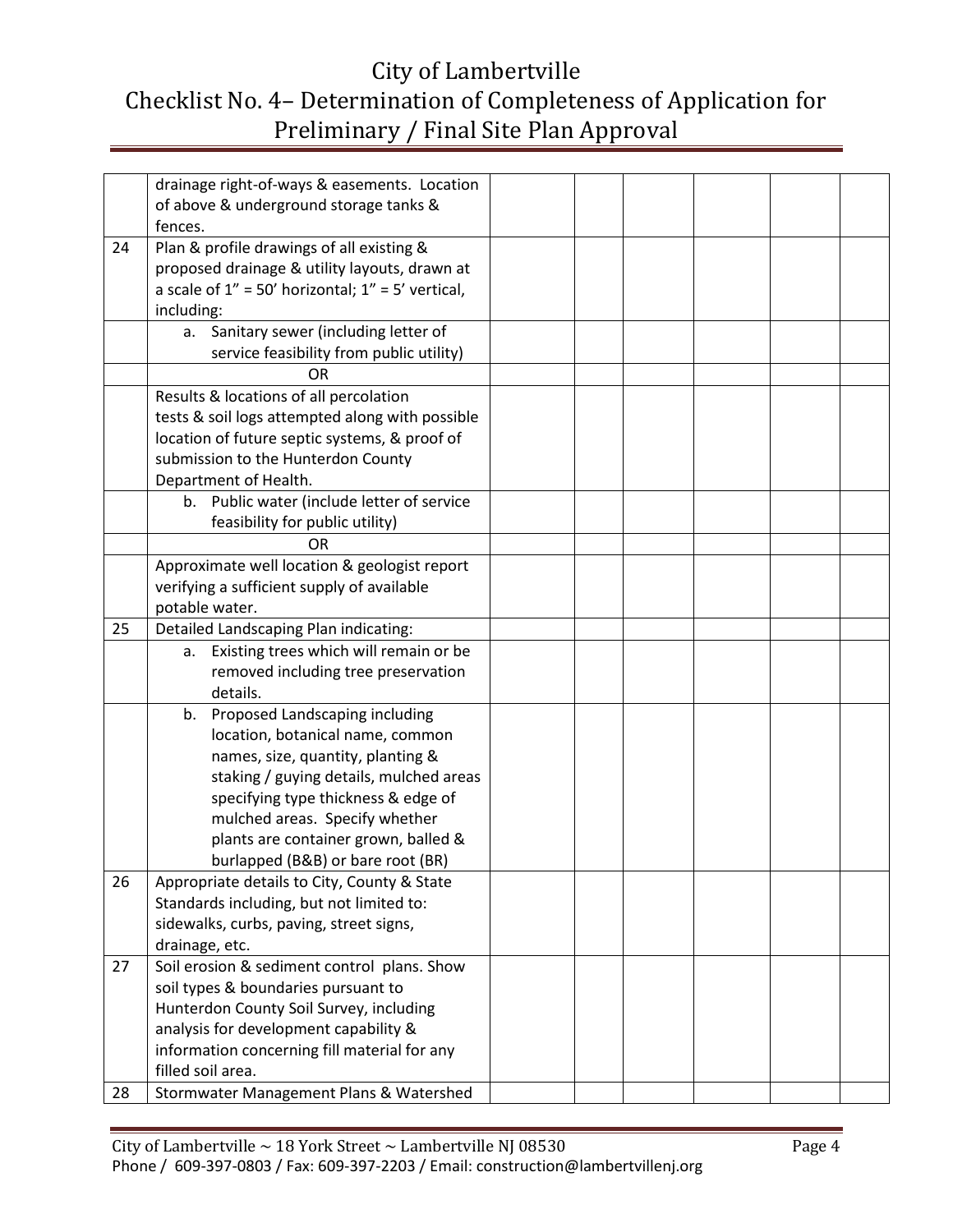|    | drainage right-of-ways & easements. Location            |  |  |  |
|----|---------------------------------------------------------|--|--|--|
|    | of above & underground storage tanks &                  |  |  |  |
|    | fences.                                                 |  |  |  |
| 24 | Plan & profile drawings of all existing &               |  |  |  |
|    | proposed drainage & utility layouts, drawn at           |  |  |  |
|    | a scale of $1'' = 50'$ horizontal; $1'' = 5'$ vertical, |  |  |  |
|    | including:                                              |  |  |  |
|    | a. Sanitary sewer (including letter of                  |  |  |  |
|    | service feasibility from public utility)                |  |  |  |
|    | OR                                                      |  |  |  |
|    | Results & locations of all percolation                  |  |  |  |
|    | tests & soil logs attempted along with possible         |  |  |  |
|    | location of future septic systems, & proof of           |  |  |  |
|    | submission to the Hunterdon County                      |  |  |  |
|    | Department of Health.                                   |  |  |  |
|    | b. Public water (include letter of service              |  |  |  |
|    | feasibility for public utility)                         |  |  |  |
|    | <b>OR</b>                                               |  |  |  |
|    | Approximate well location & geologist report            |  |  |  |
|    | verifying a sufficient supply of available              |  |  |  |
|    | potable water.                                          |  |  |  |
| 25 | Detailed Landscaping Plan indicating:                   |  |  |  |
|    | Existing trees which will remain or be<br>а.            |  |  |  |
|    | removed including tree preservation                     |  |  |  |
|    | details.                                                |  |  |  |
|    | Proposed Landscaping including<br>b.                    |  |  |  |
|    | location, botanical name, common                        |  |  |  |
|    | names, size, quantity, planting &                       |  |  |  |
|    | staking / guying details, mulched areas                 |  |  |  |
|    | specifying type thickness & edge of                     |  |  |  |
|    | mulched areas. Specify whether                          |  |  |  |
|    | plants are container grown, balled &                    |  |  |  |
|    | burlapped (B&B) or bare root (BR)                       |  |  |  |
| 26 | Appropriate details to City, County & State             |  |  |  |
|    | Standards including, but not limited to:                |  |  |  |
|    | sidewalks, curbs, paving, street signs,                 |  |  |  |
|    | drainage, etc.                                          |  |  |  |
| 27 | Soil erosion & sediment control plans. Show             |  |  |  |
|    | soil types & boundaries pursuant to                     |  |  |  |
|    | Hunterdon County Soil Survey, including                 |  |  |  |
|    | analysis for development capability &                   |  |  |  |
|    | information concerning fill material for any            |  |  |  |
|    | filled soil area.                                       |  |  |  |
| 28 | Stormwater Management Plans & Watershed                 |  |  |  |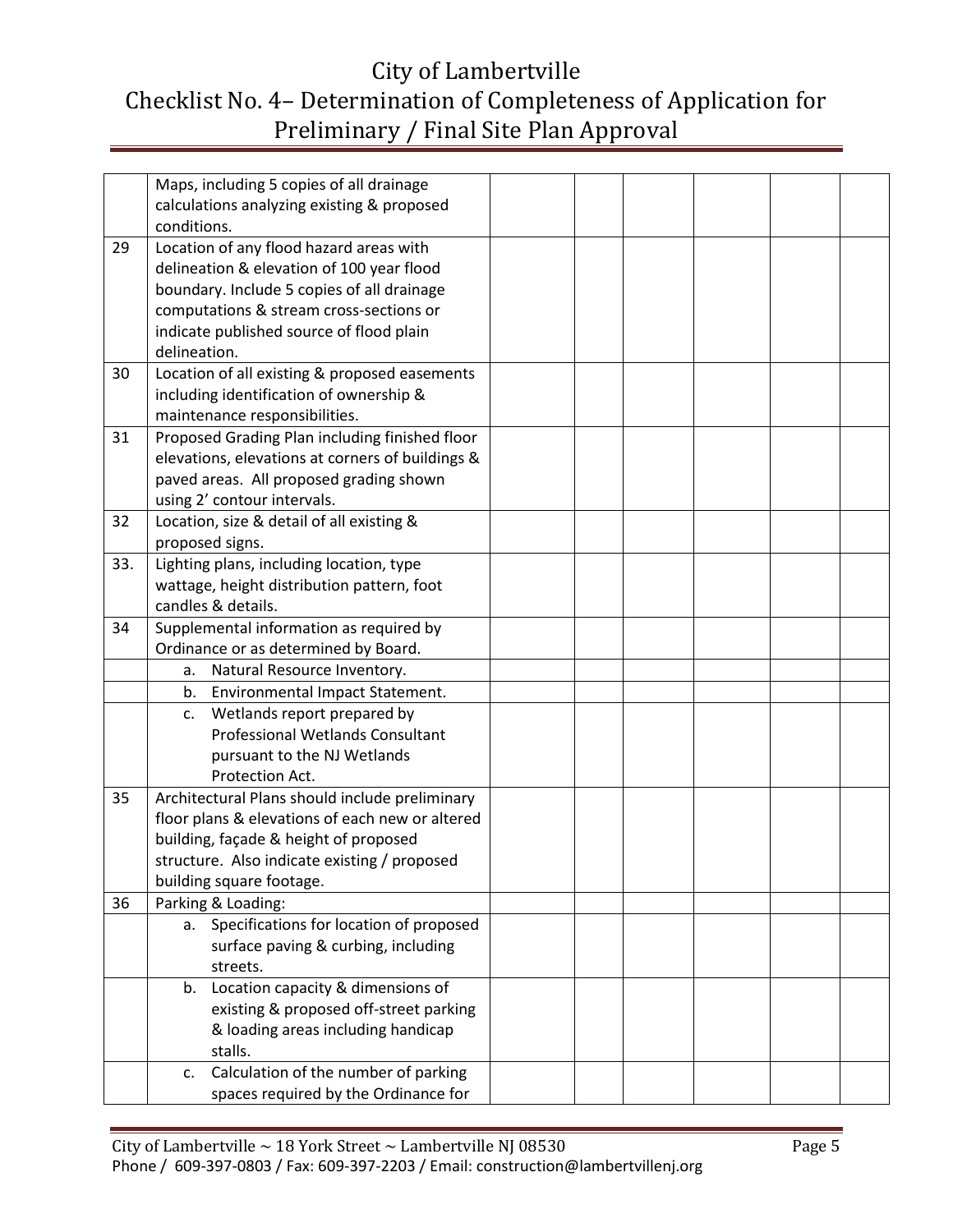|     | Maps, including 5 copies of all drainage         |  |  |  |
|-----|--------------------------------------------------|--|--|--|
|     | calculations analyzing existing & proposed       |  |  |  |
|     | conditions.                                      |  |  |  |
| 29  | Location of any flood hazard areas with          |  |  |  |
|     | delineation & elevation of 100 year flood        |  |  |  |
|     | boundary. Include 5 copies of all drainage       |  |  |  |
|     | computations & stream cross-sections or          |  |  |  |
|     | indicate published source of flood plain         |  |  |  |
|     | delineation.                                     |  |  |  |
| 30  | Location of all existing & proposed easements    |  |  |  |
|     | including identification of ownership &          |  |  |  |
|     | maintenance responsibilities.                    |  |  |  |
| 31  | Proposed Grading Plan including finished floor   |  |  |  |
|     | elevations, elevations at corners of buildings & |  |  |  |
|     | paved areas. All proposed grading shown          |  |  |  |
|     | using 2' contour intervals.                      |  |  |  |
| 32  | Location, size & detail of all existing &        |  |  |  |
|     | proposed signs.                                  |  |  |  |
| 33. | Lighting plans, including location, type         |  |  |  |
|     | wattage, height distribution pattern, foot       |  |  |  |
|     | candles & details.                               |  |  |  |
| 34  | Supplemental information as required by          |  |  |  |
|     | Ordinance or as determined by Board.             |  |  |  |
|     | Natural Resource Inventory.<br>a.                |  |  |  |
|     | Environmental Impact Statement.<br>b.            |  |  |  |
|     | Wetlands report prepared by<br>c.                |  |  |  |
|     | <b>Professional Wetlands Consultant</b>          |  |  |  |
|     | pursuant to the NJ Wetlands                      |  |  |  |
|     | Protection Act.                                  |  |  |  |
| 35  | Architectural Plans should include preliminary   |  |  |  |
|     | floor plans & elevations of each new or altered  |  |  |  |
|     | building, façade & height of proposed            |  |  |  |
|     | structure. Also indicate existing / proposed     |  |  |  |
|     | building square footage.                         |  |  |  |
| 36  | Parking & Loading:                               |  |  |  |
|     | Specifications for location of proposed<br>a.    |  |  |  |
|     | surface paving & curbing, including              |  |  |  |
|     | streets.                                         |  |  |  |
|     | Location capacity & dimensions of<br>b.          |  |  |  |
|     | existing & proposed off-street parking           |  |  |  |
|     | & loading areas including handicap               |  |  |  |
|     | stalls.                                          |  |  |  |
|     | Calculation of the number of parking<br>c.       |  |  |  |
|     | spaces required by the Ordinance for             |  |  |  |
|     |                                                  |  |  |  |